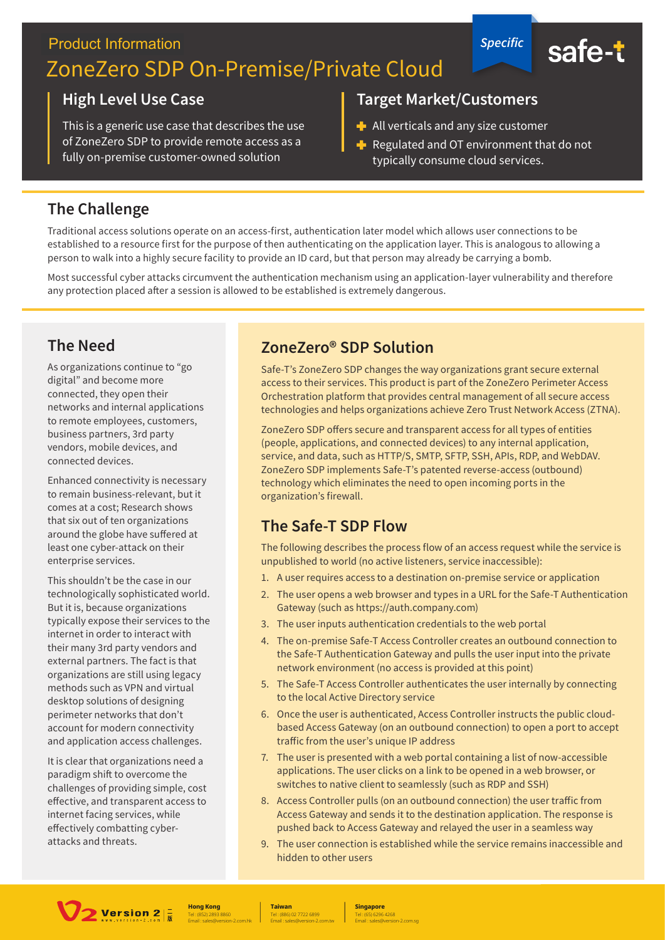## **Product Information** ZoneZero SDP On-Premise/Private Cloud

#### **High Level Use Case**

This is a generic use case that describes the use of ZoneZero SDP to provide remote access as a fully on-premise customer-owned solution

#### **Target Market/Customers**

- $\blacksquare$  All verticals and any size customer
- Regulated and OT environment that do not typically consume cloud services.

**Specific** 

safe-t

#### **The Challenge**

Traditional access solutions operate on an access-first, authentication later model which allows user connections to be established to a resource first for the purpose of then authenticating on the application layer. This is analogous to allowing a person to walk into a highly secure facility to provide an ID card, but that person may already be carrying a bomb.

Most successful cyber attacks circumvent the authentication mechanism using an application-layer vulnerability and therefore any protection placed after a session is allowed to be established is extremely dangerous.

#### **The Need**

As organizations continue to "go digital" and become more connected, they open their networks and internal applications to remote employees, customers, business partners, 3rd party vendors, mobile devices, and connected devices.

Enhanced connectivity is necessary to remain business-relevant, but it comes at a cost: Research shows that six out of ten organizations around the globe have suffered at least one cyber-attack on their enterprise services.

This shouldn't be the case in our technologically sophisticated world. But it is, because organizations typically expose their services to the internet in order to interact with their many 3rd party vendors and external partners. The fact is that organizations are still using legacy methods such as VPN and virtual desktop solutions of designing perimeter networks that don't account for modern connectivity and application access challenges.

It is clear that organizations need a paradigm shift to overcome the challenges of providing simple, cost effective, and transparent access to internet facing services, while effectively combatting cyberattacks and threats.

#### ZoneZero<sup>®</sup> SDP Solution

Safe-T's ZoneZero SDP changes the way organizations grant secure external access to their services. This product is part of the ZoneZero Perimeter Access Orchestration platform that provides central management of all secure access technologies and helps organizations achieve Zero Trust Network Access (ZTNA).

ZoneZero SDP offers secure and transparent access for all types of entities (people, applications, and connected devices) to any internal application, service, and data, such as HTTP/S, SMTP, SFTP, SSH, APIs, RDP, and WebDAV. ZoneZero SDP implements Safe-T's patented reverse-access (outbound) technology which eliminates the need to open incoming ports in the organization's firewall.

#### The Safe-T SDP Flow

The following describes the process flow of an access request while the service is unpublished to world (no active listeners, service inaccessible):

- 1. A user requires access to a destination on-premise service or application
- 2. The user opens a web browser and types in a URL for the Safe-T Authentication Gateway (such as https://auth.company.com)
- 3. The user inputs authentication credentials to the web portal
- 4. The on-premise Safe-T Access Controller creates an outbound connection to the Safe-T Authentication Gateway and pulls the user input into the private network environment (no access is provided at this point)
- 5. The Safe-T Access Controller authenticates the user internally by connecting to the local Active Directory service
- 6. Once the user is authenticated, Access Controller instructs the public cloudbased Access Gateway (on an outbound connection) to open a port to accept traffic from the user's unique IP address
- 7. The user is presented with a web portal containing a list of now-accessible applications. The user clicks on a link to be opened in a web browser, or switches to native client to seamlessly (such as RDP and SSH)
- 8. Access Controller pulls (on an outbound connection) the user traffic from Access Gateway and sends it to the destination application. The response is pushed back to Access Gateway and relayed the user in a seamless way
- 9. The user connection is established while the service remains inaccessible and hidden to other users



**Hong Kong** 

**Taiwan** 

**Singapore**